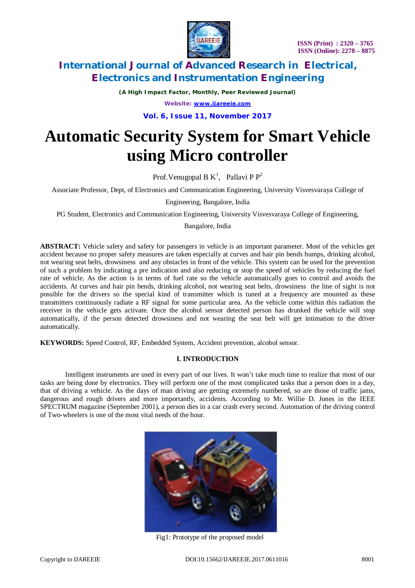

*(A High Impact Factor, Monthly, Peer Reviewed Journal)*

*Website: [www.ijareeie.com](http://www.ijareeie.com)*

**Vol. 6, Issue 11, November 2017**

# **Automatic Security System for Smart Vehicle using Micro controller**

Prof. Venugopal B  $K^1$ , Pallavi P  $P^2$ 

Associate Professor, Dept, of Electronics and Communication Engineering, University Visvesvaraya College of

Engineering, Bangalore, India

PG Student, Electronics and Communication Engineering, University Visvesvaraya College of Engineering,

Bangalore, India

**ABSTRACT:** Vehicle safety and safety for passengers in vehicle is an important parameter. Most of the vehicles get accident because no proper safety measures are taken especially at curves and hair pin bends humps, drinking alcohol, not wearing seat belts, drowsiness and any obstacles in front of the vehicle. This system can be used for the prevention of such a problem by indicating a pre indication and also reducing or stop the speed of vehicles by reducing the fuel rate of vehicle. As the action is in terms of fuel rate so the vehicle automatically goes to control and avoids the accidents. At curves and hair pin bends, drinking alcohol, not wearing seat belts, drowsiness the line of sight is not possible for the drivers so the special kind of transmitter which is tuned at a frequency are mounted as these transmitters continuously radiate a RF signal for some particular area. As the vehicle come within this radiation the receiver in the vehicle gets activate. Once the alcohol sensor detected person has drunked the vehicle will stop automatically, if the person detected drowsiness and not wearing the seat belt will get intimation to the driver automatically.

**KEYWORDS:** Speed Control, RF, Embedded System, Accident prevention, alcohol sensor.

### **I. INTRODUCTION**

Intelligent instruments are used in every part of our lives. It won't take much time to realize that most of our tasks are being done by electronics. They will perform one of the most complicated tasks that a person does in a day, that of driving a vehicle. As the days of man driving are getting extremely numbered, so are those of traffic jams, dangerous and rough drivers and more importantly, accidents. According to Mr. Willie D. Jones in the IEEE SPECTRUM magazine (September 2001), a person dies in a car crash every second. Automation of the driving control of Two-wheelers is one of the most vital needs of the hour.



Fig1: Prototype of the proposed model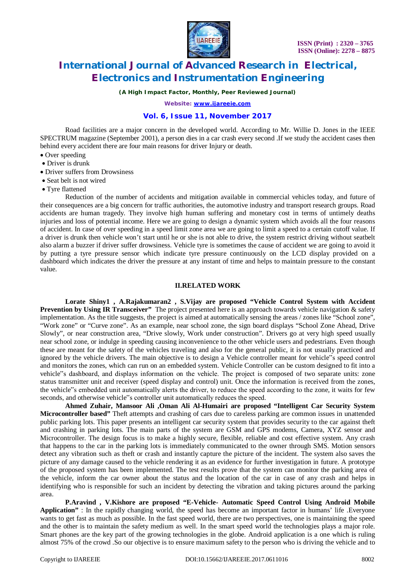

*(A High Impact Factor, Monthly, Peer Reviewed Journal)*

*Website: [www.ijareeie.com](http://www.ijareeie.com)*

## **Vol. 6, Issue 11, November 2017**

Road facilities are a major concern in the developed world. According to Mr. Willie D. Jones in the IEEE SPECTRUM magazine (September 2001), a person dies in a car crash every second .If we study the accident cases then behind every accident there are four main reasons for driver Injury or death.

- Over speeding
- Driver is drunk
- Driver suffers from Drowsiness
- Seat belt is not wired
- Tyre flattened

Reduction of the number of accidents and mitigation available in commercial vehicles today, and future of their consequences are a big concern for traffic authorities, the automotive industry and transport research groups. Road accidents are human tragedy. They involve high human suffering and monetary cost in terms of untimely deaths injuries and loss of potential income. Here we are going to design a dynamic system which avoids all the four reasons of accident. In case of over speeding in a speed limit zone area we are going to limit a speed to a certain cutoff value. If a driver is drunk then vehicle won't start until he or she is not able to drive, the system restrict driving without seatbelt also alarm a buzzer if driver suffer drowsiness. Vehicle tyre is sometimes the cause of accident we are going to avoid it by putting a tyre pressure sensor which indicate tyre pressure continuously on the LCD display provided on a dashboard which indicates the driver the pressure at any instant of time and helps to maintain pressure to the constant value.

#### **II.RELATED WORK**

**Lorate Shiny1 , A.Rajakumaran2 , S.Vijay are proposed "Vehicle Control System with Accident Prevention by Using IR Transceiver"** The project presented here is an approach towards vehicle navigation & safety implementation. As the title suggests, the project is aimed at automatically sensing the areas / zones like "School zone", "Work zone" or "Curve zone". As an example, near school zone, the sign board displays "School Zone Ahead, Drive Slowly", or near construction area, "Drive slowly, Work under construction". Drivers go at very high speed usually near school zone, or indulge in speeding causing inconvenience to the other vehicle users and pedestrians. Even though these are meant for the safety of the vehicles traveling and also for the general public, it is not usually practiced and ignored by the vehicle drivers. The main objective is to design a Vehicle controller meant for vehicle"s speed control and monitors the zones, which can run on an embedded system. Vehicle Controller can be custom designed to fit into a vehicle"s dashboard, and displays information on the vehicle. The project is composed of two separate units: zone status transmitter unit and receiver (speed display and control) unit. Once the information is received from the zones, the vehicle"s embedded unit automatically alerts the driver, to reduce the speed according to the zone, it waits for few seconds, and otherwise vehicle"s controller unit automatically reduces the speed.

**Ahmed Zuhair, Mansoor Ali ,Oman Ali Al-Humairi are proposed "Intelligent Car Security System Microcontroller based"** Theft attempts and crashing of cars due to careless parking are common issues in unattended public parking lots. This paper presents an intelligent car security system that provides security to the car against theft and crashing in parking lots. The main parts of the system are GSM and GPS modems, Camera, XYZ sensor and Microcontroller. The design focus is to make a highly secure, flexible, reliable and cost effective system. Any crash that happens to the car in the parking lots is immediately communicated to the owner through SMS. Motion sensors detect any vibration such as theft or crash and instantly capture the picture of the incident. The system also saves the picture of any damage caused to the vehicle rendering it as an evidence for further investigation in future. A prototype of the proposed system has been implemented. The test results prove that the system can monitor the parking area of the vehicle, inform the car owner about the status and the location of the car in case of any crash and helps in identifying who is responsible for such an incident by detecting the vibration and taking pictures around the parking area.

**P.Aravind , V.Kishore are proposed "E-Vehicle- Automatic Speed Control Using Android Mobile Application"** : In the rapidly changing world, the speed has become an important factor in humans' life .Everyone wants to get fast as much as possible. In the fast speed world, there are two perspectives, one is maintaining the speed and the other is to maintain the safety medium as well. In the smart speed world the technologies plays a major role. Smart phones are the key part of the growing technologies in the globe. Android application is a one which is ruling almost 75% of the crowd .So our objective is to ensure maximum safety to the person who is driving the vehicle and to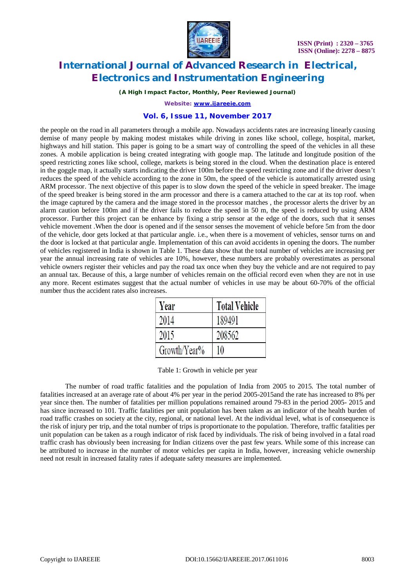

*(A High Impact Factor, Monthly, Peer Reviewed Journal)*

*Website: [www.ijareeie.com](http://www.ijareeie.com)*

### **Vol. 6, Issue 11, November 2017**

the people on the road in all parameters through a mobile app. Nowadays accidents rates are increasing linearly causing demise of many people by making modest mistakes while driving in zones like school, college, hospital, market, highways and hill station. This paper is going to be a smart way of controlling the speed of the vehicles in all these zones. A mobile application is being created integrating with google map. The latitude and longitude position of the speed restricting zones like school, college, markets is being stored in the cloud. When the destination place is entered in the goggle map, it actually starts indicating the driver 100m before the speed restricting zone and if the driver doesn't reduces the speed of the vehicle according to the zone in 50m, the speed of the vehicle is automatically arrested using ARM processor. The next objective of this paper is to slow down the speed of the vehicle in speed breaker. The image of the speed breaker is being stored in the arm processor and there is a camera attached to the car at its top roof. when the image captured by the camera and the image stored in the processor matches , the processor alerts the driver by an alarm caution before 100m and if the driver fails to reduce the speed in 50 m, the speed is reduced by using ARM processor. Further this project can be enhance by fixing a strip sensor at the edge of the doors, such that it senses vehicle movement .When the door is opened and if the sensor senses the movement of vehicle before 5m from the door of the vehicle, door gets locked at that particular angle. i.e., when there is a movement of vehicles, sensor turns on and the door is locked at that particular angle. Implementation of this can avoid accidents in opening the doors. The number of vehicles registered in India is shown in Table 1. These data show that the total number of vehicles are increasing per year the annual increasing rate of vehicles are 10%, however, these numbers are probably overestimates as personal vehicle owners register their vehicles and pay the road tax once when they buy the vehicle and are not required to pay an annual tax. Because of this, a large number of vehicles remain on the official record even when they are not in use any more. Recent estimates suggest that the actual number of vehicles in use may be about 60-70% of the official number thus the accident rates also increases.

| Year         | <b>Total Vehicle</b> |  |  |
|--------------|----------------------|--|--|
| 2014         | 189491               |  |  |
| 2015         | 208562               |  |  |
| Growth/Year% | 10                   |  |  |

|  | Table 1: Growth in vehicle per year |  |  |  |  |
|--|-------------------------------------|--|--|--|--|
|--|-------------------------------------|--|--|--|--|

The number of road traffic fatalities and the population of India from 2005 to 2015. The total number of fatalities increased at an average rate of about 4% per year in the period 2005-2015and the rate has increased to 8% per year since then. The number of fatalities per million populations remained around 79-83 in the period 2005- 2015 and has since increased to 101. Traffic fatalities per unit population has been taken as an indicator of the health burden of road traffic crashes on society at the city, regional, or national level. At the individual level, what is of consequence is the risk of injury per trip, and the total number of trips is proportionate to the population. Therefore, traffic fatalities per unit population can be taken as a rough indicator of risk faced by individuals. The risk of being involved in a fatal road traffic crash has obviously been increasing for Indian citizens over the past few years. While some of this increase can be attributed to increase in the number of motor vehicles per capita in India, however, increasing vehicle ownership need not result in increased fatality rates if adequate safety measures are implemented.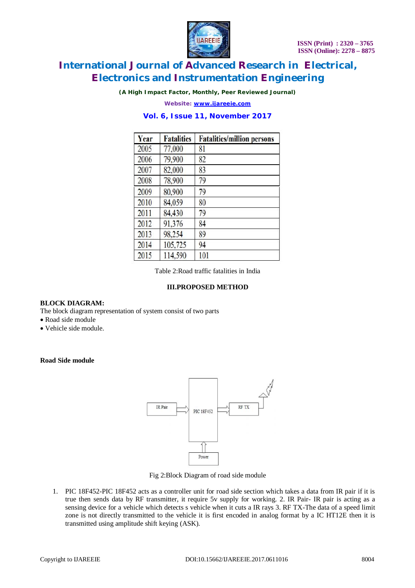

*(A High Impact Factor, Monthly, Peer Reviewed Journal)*

*Website: [www.ijareeie.com](http://www.ijareeie.com)*

# **Vol. 6, Issue 11, November 2017**

| Year | <b>Fatalities</b> | <b>Fatalities/million persons</b> |
|------|-------------------|-----------------------------------|
| 2005 | 77,000            | 81                                |
| 2006 | 79,900            | 82                                |
| 2007 | 82,000            | 83                                |
| 2008 | 78,900            | 79                                |
| 2009 | 80,900            | 79                                |
| 2010 | 84,059            | 80                                |
| 2011 | 84,430            | 79                                |
| 2012 | 91,376            | 84                                |
| 2013 | 98,254            | 89                                |
| 2014 | 105,725           | 94                                |
| 2015 | 114,590           | 101                               |

Table 2:Road traffic fatalities in India

# **III.PROPOSED METHOD**

### **BLOCK DIAGRAM:**

The block diagram representation of system consist of two parts

- Road side module
- Vehicle side module.

### **Road Side module**



Fig 2:Block Diagram of road side module

1. PIC 18F452-PIC 18F452 acts as a controller unit for road side section which takes a data from IR pair if it is true then sends data by RF transmitter, it require 5v supply for working. 2. IR Pair- IR pair is acting as a sensing device for a vehicle which detects s vehicle when it cuts a IR rays 3. RF TX-The data of a speed limit zone is not directly transmitted to the vehicle it is first encoded in analog format by a IC HT12E then it is transmitted using amplitude shift keying (ASK).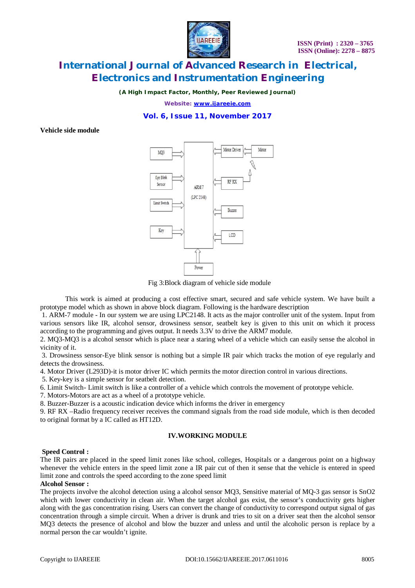

*(A High Impact Factor, Monthly, Peer Reviewed Journal)*

*Website: [www.ijareeie.com](http://www.ijareeie.com)*

# **Vol. 6, Issue 11, November 2017**

**Vehicle side module**



Fig 3:Block diagram of vehicle side module

This work is aimed at producing a cost effective smart, secured and safe vehicle system. We have built a prototype model which as shown in above block diagram. Following is the hardware description

1. ARM-7 module - In our system we are using LPC2148. It acts as the major controller unit of the system. Input from various sensors like IR, alcohol sensor, drowsiness sensor, seatbelt key is given to this unit on which it process according to the programming and gives output. It needs 3.3V to drive the ARM7 module.

2. MQ3-MQ3 is a alcohol sensor which is place near a staring wheel of a vehicle which can easily sense the alcohol in vicinity of it.

3. Drowsiness sensor-Eye blink sensor is nothing but a simple IR pair which tracks the motion of eye regularly and detects the drowsiness.

4. Motor Driver (L293D)-it is motor driver IC which permits the motor direction control in various directions.

5. Key-key is a simple sensor for seatbelt detection.

6. Limit Switch- Limit switch is like a controller of a vehicle which controls the movement of prototype vehicle.

7. Motors-Motors are act as a wheel of a prototype vehicle.

8. Buzzer-Buzzer is a acoustic indication device which informs the driver in emergency

9. RF RX –Radio frequency receiver receives the command signals from the road side module, which is then decoded to original format by a IC called as HT12D.

#### **IV.WORKING MODULE**

#### **Speed Control :**

The IR pairs are placed in the speed limit zones like school, colleges, Hospitals or a dangerous point on a highway whenever the vehicle enters in the speed limit zone a IR pair cut of then it sense that the vehicle is entered in speed limit zone and controls the speed according to the zone speed limit

#### **Alcohol Sensor :**

The projects involve the alcohol detection using a alcohol sensor MQ3, Sensitive material of MQ-3 gas sensor is SnO2 which with lower conductivity in clean air. When the target alcohol gas exist, the sensor's conductivity gets higher along with the gas concentration rising. Users can convert the change of conductivity to correspond output signal of gas concentration through a simple circuit. When a driver is drunk and tries to sit on a driver seat then the alcohol sensor MQ3 detects the presence of alcohol and blow the buzzer and unless and until the alcoholic person is replace by a normal person the car wouldn't ignite.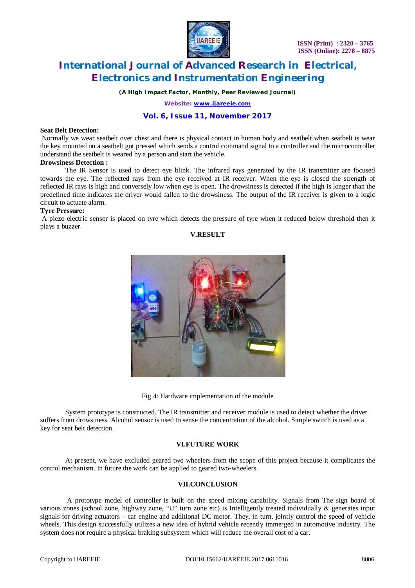

*(A High Impact Factor, Monthly, Peer Reviewed Journal)*

*Website: [www.ijareeie.com](http://www.ijareeie.com)*

# **Vol. 6, Issue 11, November 2017**

#### **Seat Belt Detection:**

Normally we wear seatbelt over chest and there is physical contact in human body and seatbelt when seatbelt is wear the key mounted on a seatbelt got pressed which sends a control command signal to a controller and the microcontroller understand the seatbelt is weared by a person and start the vehicle.

#### **Drowsiness Detection :**

The IR Sensor is used to detect eye blink. The infrared rays generated by the IR transmitter are focused towards the eye. The reflected rays from the eye received at IR receiver. When the eye is closed the strength of reflected IR rays is high and conversely low when eye is open. The drowsiness is detected if the high is longer than the predefined time indicates the driver would fallen to the drowsiness. The output of the IR receiver is given to a logic circuit to actuate alarm.

#### **Tyre Pressure:**

A piezo electric sensor is placed on tyre which detects the pressure of tyre when it reduced below threshold then it plays a buzzer.

# **V.RESULT**



Fig 4: Hardware implementation of the module

System prototype is constructed. The IR transmitter and receiver module is used to detect whether the driver suffers from drowsiness. Alcohol sensor is used to sense the concentration of the alcohol. Simple switch is used as a key for seat belt detection.

### **VI.FUTURE WORK**

At present, we have excluded geared two wheelers from the scope of this project because it complicates the control mechanism. In future the work can be applied to geared two-wheelers.

## **VII.CONCLUSION**

A prototype model of controller is built on the speed mixing capability. Signals from The sign board of various zones (school zone, highway zone, "U" turn zone etc) is Intelligently treated individually & generates input signals for driving actuators – car engine and additional DC motor. They, in turn, jointly control the speed of vehicle wheels. This design successfully utilizes a new idea of hybrid vehicle recently immerged in automotive industry. The system does not require a physical braking subsystem which will reduce the overall cost of a car.